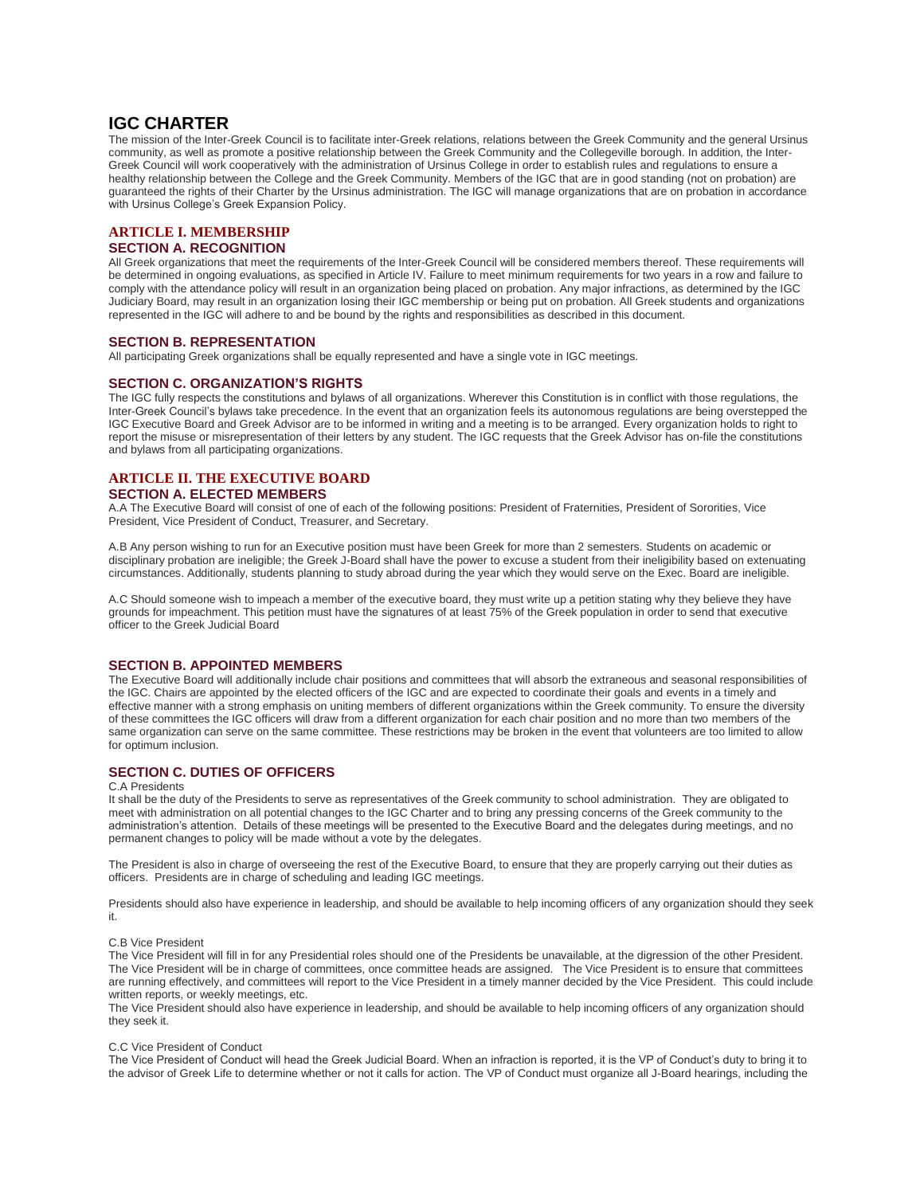## **IGC CHARTER**

The mission of the Inter-Greek Council is to facilitate inter-Greek relations, relations between the Greek Community and the general Ursinus community, as well as promote a positive relationship between the Greek Community and the Collegeville borough. In addition, the Inter-Greek Council will work cooperatively with the administration of Ursinus College in order to establish rules and regulations to ensure a healthy relationship between the College and the Greek Community. Members of the IGC that are in good standing (not on probation) are guaranteed the rights of their Charter by the Ursinus administration. The IGC will manage organizations that are on probation in accordance with Ursinus College's Greek Expansion Policy.

## **ARTICLE I. MEMBERSHIP**

## **SECTION A. RECOGNITION**

All Greek organizations that meet the requirements of the Inter-Greek Council will be considered members thereof. These requirements will be determined in ongoing evaluations, as specified in Article IV. Failure to meet minimum requirements for two years in a row and failure to comply with the attendance policy will result in an organization being placed on probation. Any major infractions, as determined by the IGC Judiciary Board, may result in an organization losing their IGC membership or being put on probation. All Greek students and organizations represented in the IGC will adhere to and be bound by the rights and responsibilities as described in this document.

#### **SECTION B. REPRESENTATION**

All participating Greek organizations shall be equally represented and have a single vote in IGC meetings.

#### **SECTION C. ORGANIZATION'S RIGHTS**

The IGC fully respects the constitutions and bylaws of all organizations. Wherever this Constitution is in conflict with those regulations, the Inter-Greek Council's bylaws take precedence. In the event that an organization feels its autonomous regulations are being overstepped the IGC Executive Board and Greek Advisor are to be informed in writing and a meeting is to be arranged. Every organization holds to right to report the misuse or misrepresentation of their letters by any student. The IGC requests that the Greek Advisor has on-file the constitutions and bylaws from all participating organizations.

#### **ARTICLE II. THE EXECUTIVE BOARD SECTION A. ELECTED MEMBERS**

A.A The Executive Board will consist of one of each of the following positions: President of Fraternities, President of Sororities, Vice President, Vice President of Conduct, Treasurer, and Secretary.

A.B Any person wishing to run for an Executive position must have been Greek for more than 2 semesters. Students on academic or disciplinary probation are ineligible; the Greek J-Board shall have the power to excuse a student from their ineligibility based on extenuating circumstances. Additionally, students planning to study abroad during the year which they would serve on the Exec. Board are ineligible.

A.C Should someone wish to impeach a member of the executive board, they must write up a petition stating why they believe they have grounds for impeachment. This petition must have the signatures of at least 75% of the Greek population in order to send that executive officer to the Greek Judicial Board

## **SECTION B. APPOINTED MEMBERS**

The Executive Board will additionally include chair positions and committees that will absorb the extraneous and seasonal responsibilities of the IGC. Chairs are appointed by the elected officers of the IGC and are expected to coordinate their goals and events in a timely and effective manner with a strong emphasis on uniting members of different organizations within the Greek community. To ensure the diversity of these committees the IGC officers will draw from a different organization for each chair position and no more than two members of the same organization can serve on the same committee. These restrictions may be broken in the event that volunteers are too limited to allow for optimum inclusion.

#### **SECTION C. DUTIES OF OFFICERS**

#### C.A Presidents

It shall be the duty of the Presidents to serve as representatives of the Greek community to school administration. They are obligated to meet with administration on all potential changes to the IGC Charter and to bring any pressing concerns of the Greek community to the administration's attention. Details of these meetings will be presented to the Executive Board and the delegates during meetings, and no permanent changes to policy will be made without a vote by the delegates.

The President is also in charge of overseeing the rest of the Executive Board, to ensure that they are properly carrying out their duties as officers. Presidents are in charge of scheduling and leading IGC meetings.

Presidents should also have experience in leadership, and should be available to help incoming officers of any organization should they seek it.

#### C.B Vice President

The Vice President will fill in for any Presidential roles should one of the Presidents be unavailable, at the digression of the other President. The Vice President will be in charge of committees, once committee heads are assigned. The Vice President is to ensure that committees are running effectively, and committees will report to the Vice President in a timely manner decided by the Vice President. This could include written reports, or weekly meetings, etc.

The Vice President should also have experience in leadership, and should be available to help incoming officers of any organization should they seek it.

#### C.C Vice President of Conduct

The Vice President of Conduct will head the Greek Judicial Board. When an infraction is reported, it is the VP of Conduct's duty to bring it to the advisor of Greek Life to determine whether or not it calls for action. The VP of Conduct must organize all J-Board hearings, including the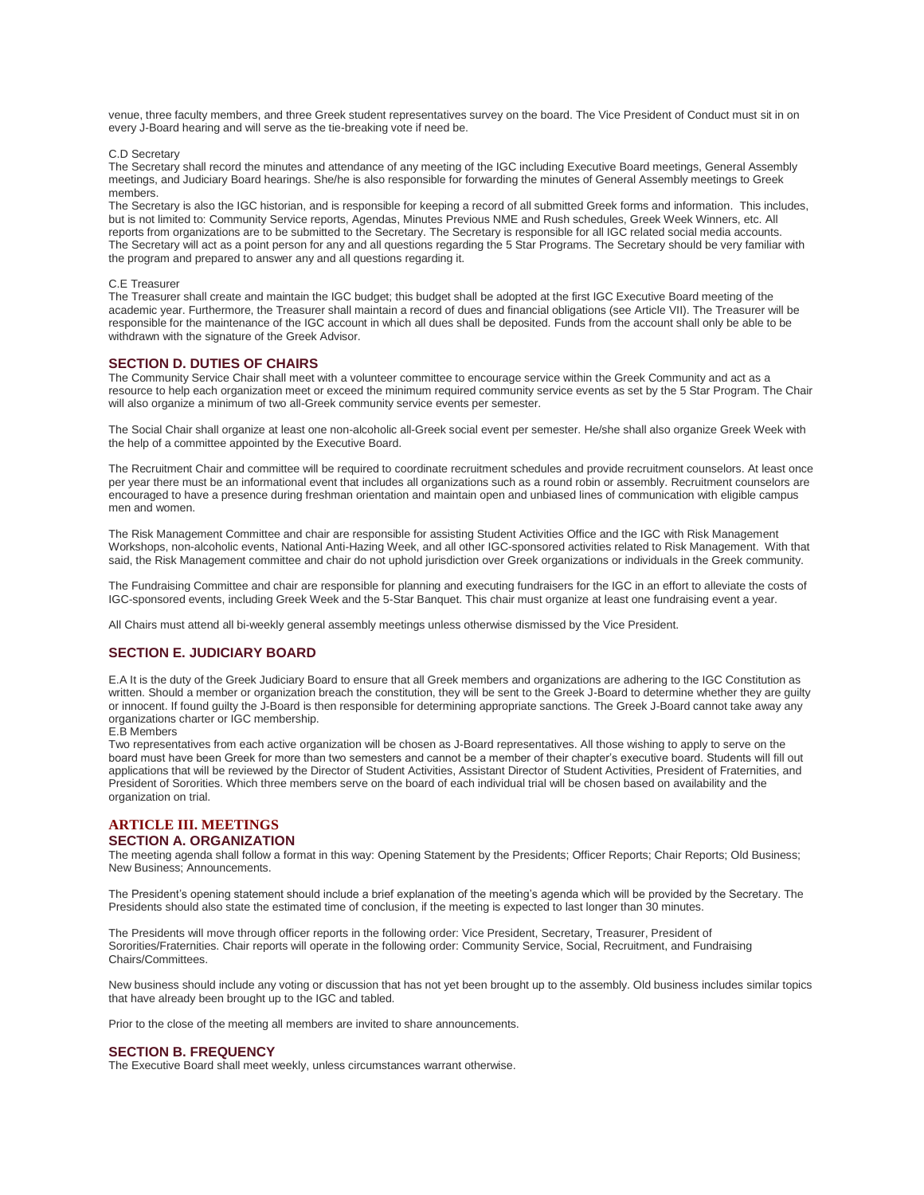venue, three faculty members, and three Greek student representatives survey on the board. The Vice President of Conduct must sit in on every J-Board hearing and will serve as the tie-breaking vote if need be.

#### C.D Secretary

The Secretary shall record the minutes and attendance of any meeting of the IGC including Executive Board meetings, General Assembly meetings, and Judiciary Board hearings. She/he is also responsible for forwarding the minutes of General Assembly meetings to Greek members.

The Secretary is also the IGC historian, and is responsible for keeping a record of all submitted Greek forms and information. This includes, but is not limited to: Community Service reports, Agendas, Minutes Previous NME and Rush schedules, Greek Week Winners, etc. All reports from organizations are to be submitted to the Secretary. The Secretary is responsible for all IGC related social media accounts. The Secretary will act as a point person for any and all questions regarding the 5 Star Programs. The Secretary should be very familiar with the program and prepared to answer any and all questions regarding it.

#### C.E Treasurer

The Treasurer shall create and maintain the IGC budget; this budget shall be adopted at the first IGC Executive Board meeting of the academic year. Furthermore, the Treasurer shall maintain a record of dues and financial obligations (see Article VII). The Treasurer will be responsible for the maintenance of the IGC account in which all dues shall be deposited. Funds from the account shall only be able to be withdrawn with the signature of the Greek Advisor.

#### **SECTION D. DUTIES OF CHAIRS**

The Community Service Chair shall meet with a volunteer committee to encourage service within the Greek Community and act as a resource to help each organization meet or exceed the minimum required community service events as set by the 5 Star Program. The Chair will also organize a minimum of two all-Greek community service events per semester.

The Social Chair shall organize at least one non-alcoholic all-Greek social event per semester. He/she shall also organize Greek Week with the help of a committee appointed by the Executive Board.

The Recruitment Chair and committee will be required to coordinate recruitment schedules and provide recruitment counselors. At least once per year there must be an informational event that includes all organizations such as a round robin or assembly. Recruitment counselors are encouraged to have a presence during freshman orientation and maintain open and unbiased lines of communication with eligible campus men and women.

The Risk Management Committee and chair are responsible for assisting Student Activities Office and the IGC with Risk Management Workshops, non-alcoholic events, National Anti-Hazing Week, and all other IGC-sponsored activities related to Risk Management. With that said, the Risk Management committee and chair do not uphold jurisdiction over Greek organizations or individuals in the Greek community.

The Fundraising Committee and chair are responsible for planning and executing fundraisers for the IGC in an effort to alleviate the costs of IGC-sponsored events, including Greek Week and the 5-Star Banquet. This chair must organize at least one fundraising event a year.

All Chairs must attend all bi-weekly general assembly meetings unless otherwise dismissed by the Vice President.

#### **SECTION E. JUDICIARY BOARD**

E.A It is the duty of the Greek Judiciary Board to ensure that all Greek members and organizations are adhering to the IGC Constitution as written. Should a member or organization breach the constitution, they will be sent to the Greek J-Board to determine whether they are guilty or innocent. If found guilty the J-Board is then responsible for determining appropriate sanctions. The Greek J-Board cannot take away any organizations charter or IGC membership.

#### E.B Members

Two representatives from each active organization will be chosen as J-Board representatives. All those wishing to apply to serve on the board must have been Greek for more than two semesters and cannot be a member of their chapter's executive board. Students will fill out applications that will be reviewed by the Director of Student Activities, Assistant Director of Student Activities, President of Fraternities, and President of Sororities. Which three members serve on the board of each individual trial will be chosen based on availability and the organization on trial.

## **ARTICLE III. MEETINGS**

## **SECTION A. ORGANIZATION**

The meeting agenda shall follow a format in this way: Opening Statement by the Presidents; Officer Reports; Chair Reports; Old Business; New Business; Announcements.

The President's opening statement should include a brief explanation of the meeting's agenda which will be provided by the Secretary. The Presidents should also state the estimated time of conclusion, if the meeting is expected to last longer than 30 minutes.

The Presidents will move through officer reports in the following order: Vice President, Secretary, Treasurer, President of Sororities/Fraternities. Chair reports will operate in the following order: Community Service, Social, Recruitment, and Fundraising Chairs/Committees.

New business should include any voting or discussion that has not yet been brought up to the assembly. Old business includes similar topics that have already been brought up to the IGC and tabled.

Prior to the close of the meeting all members are invited to share announcements.

#### **SECTION B. FREQUENCY**

The Executive Board shall meet weekly, unless circumstances warrant otherwise.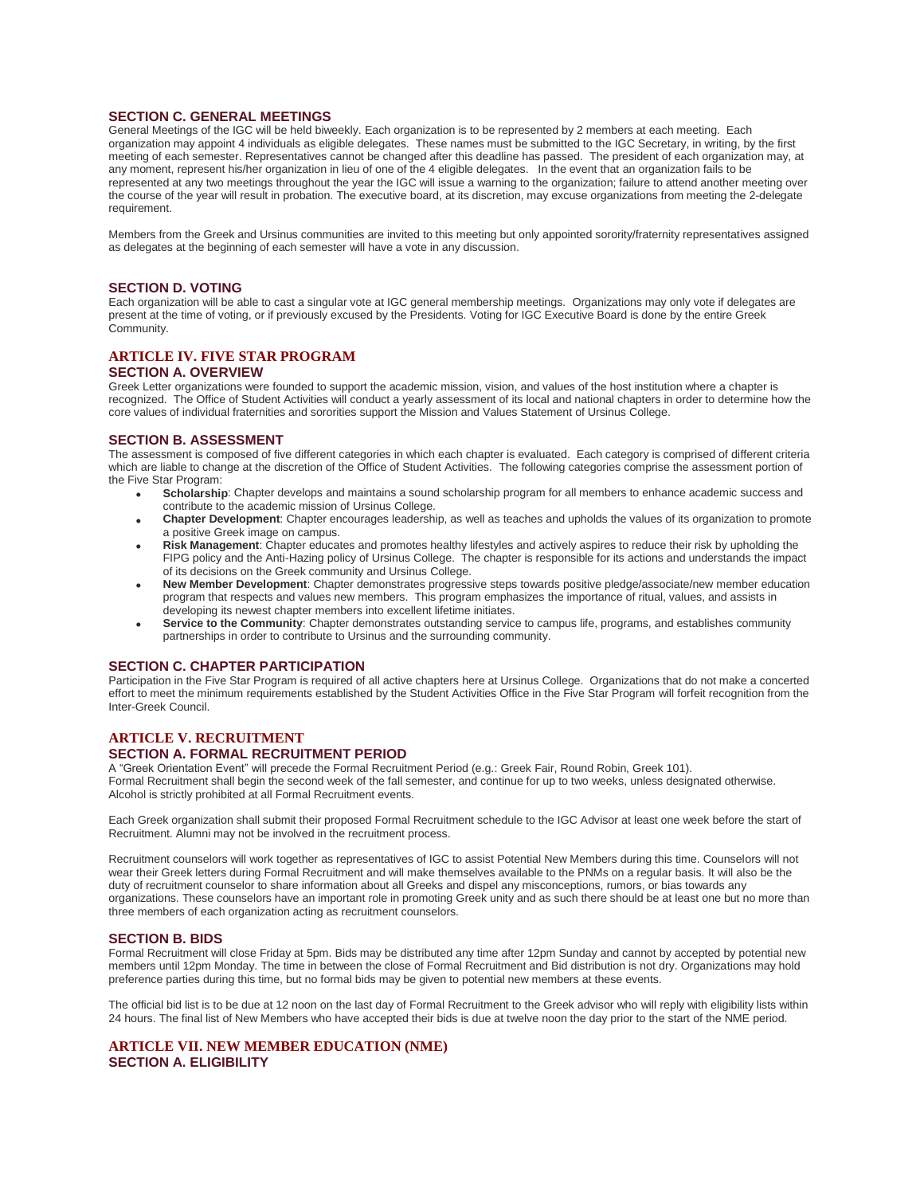## **SECTION C. GENERAL MEETINGS**

General Meetings of the IGC will be held biweekly. Each organization is to be represented by 2 members at each meeting. Each organization may appoint 4 individuals as eligible delegates. These names must be submitted to the IGC Secretary, in writing, by the first meeting of each semester. Representatives cannot be changed after this deadline has passed. The president of each organization may, at any moment, represent his/her organization in lieu of one of the 4 eligible delegates. In the event that an organization fails to be represented at any two meetings throughout the year the IGC will issue a warning to the organization; failure to attend another meeting over the course of the year will result in probation. The executive board, at its discretion, may excuse organizations from meeting the 2-delegate requirement.

Members from the Greek and Ursinus communities are invited to this meeting but only appointed sorority/fraternity representatives assigned as delegates at the beginning of each semester will have a vote in any discussion.

### **SECTION D. VOTING**

Each organization will be able to cast a singular vote at IGC general membership meetings. Organizations may only vote if delegates are present at the time of voting, or if previously excused by the Presidents. Voting for IGC Executive Board is done by the entire Greek Community.

# **ARTICLE IV. FIVE STAR PROGRAM**

## **SECTION A. OVERVIEW**

Greek Letter organizations were founded to support the academic mission, vision, and values of the host institution where a chapter is recognized. The Office of Student Activities will conduct a yearly assessment of its local and national chapters in order to determine how the core values of individual fraternities and sororities support the Mission and Values Statement of Ursinus College.

#### **SECTION B. ASSESSMENT**

The assessment is composed of five different categories in which each chapter is evaluated. Each category is comprised of different criteria which are liable to change at the discretion of the Office of Student Activities. The following categories comprise the assessment portion of the Five Star Program:

- **Scholarship**: Chapter develops and maintains a sound scholarship program for all members to enhance academic success and contribute to the academic mission of Ursinus College.
- **Chapter Development**: Chapter encourages leadership, as well as teaches and upholds the values of its organization to promote a positive Greek image on campus.
- **Risk Management**: Chapter educates and promotes healthy lifestyles and actively aspires to reduce their risk by upholding the FIPG policy and the Anti-Hazing policy of Ursinus College. The chapter is responsible for its actions and understands the impact of its decisions on the Greek community and Ursinus College.
- **New Member Development**: Chapter demonstrates progressive steps towards positive pledge/associate/new member education program that respects and values new members. This program emphasizes the importance of ritual, values, and assists in developing its newest chapter members into excellent lifetime initiates.
- **Service to the Community**: Chapter demonstrates outstanding service to campus life, programs, and establishes community partnerships in order to contribute to Ursinus and the surrounding community.

#### **SECTION C. CHAPTER PARTICIPATION**

Participation in the Five Star Program is required of all active chapters here at Ursinus College. Organizations that do not make a concerted effort to meet the minimum requirements established by the Student Activities Office in the Five Star Program will forfeit recognition from the Inter-Greek Council.

#### **ARTICLE V. RECRUITMENT SECTION A. FORMAL RECRUITMENT PERIOD**

A "Greek Orientation Event" will precede the Formal Recruitment Period (e.g.: Greek Fair, Round Robin, Greek 101). Formal Recruitment shall begin the second week of the fall semester, and continue for up to two weeks, unless designated otherwise. Alcohol is strictly prohibited at all Formal Recruitment events.

Each Greek organization shall submit their proposed Formal Recruitment schedule to the IGC Advisor at least one week before the start of Recruitment. Alumni may not be involved in the recruitment process.

Recruitment counselors will work together as representatives of IGC to assist Potential New Members during this time. Counselors will not wear their Greek letters during Formal Recruitment and will make themselves available to the PNMs on a regular basis. It will also be the duty of recruitment counselor to share information about all Greeks and dispel any misconceptions, rumors, or bias towards any organizations. These counselors have an important role in promoting Greek unity and as such there should be at least one but no more than three members of each organization acting as recruitment counselors.

#### **SECTION B. BIDS**

Formal Recruitment will close Friday at 5pm. Bids may be distributed any time after 12pm Sunday and cannot by accepted by potential new members until 12pm Monday. The time in between the close of Formal Recruitment and Bid distribution is not dry. Organizations may hold preference parties during this time, but no formal bids may be given to potential new members at these events.

The official bid list is to be due at 12 noon on the last day of Formal Recruitment to the Greek advisor who will reply with eligibility lists within 24 hours. The final list of New Members who have accepted their bids is due at twelve noon the day prior to the start of the NME period.

### **ARTICLE VII. NEW MEMBER EDUCATION (NME) SECTION A. ELIGIBILITY**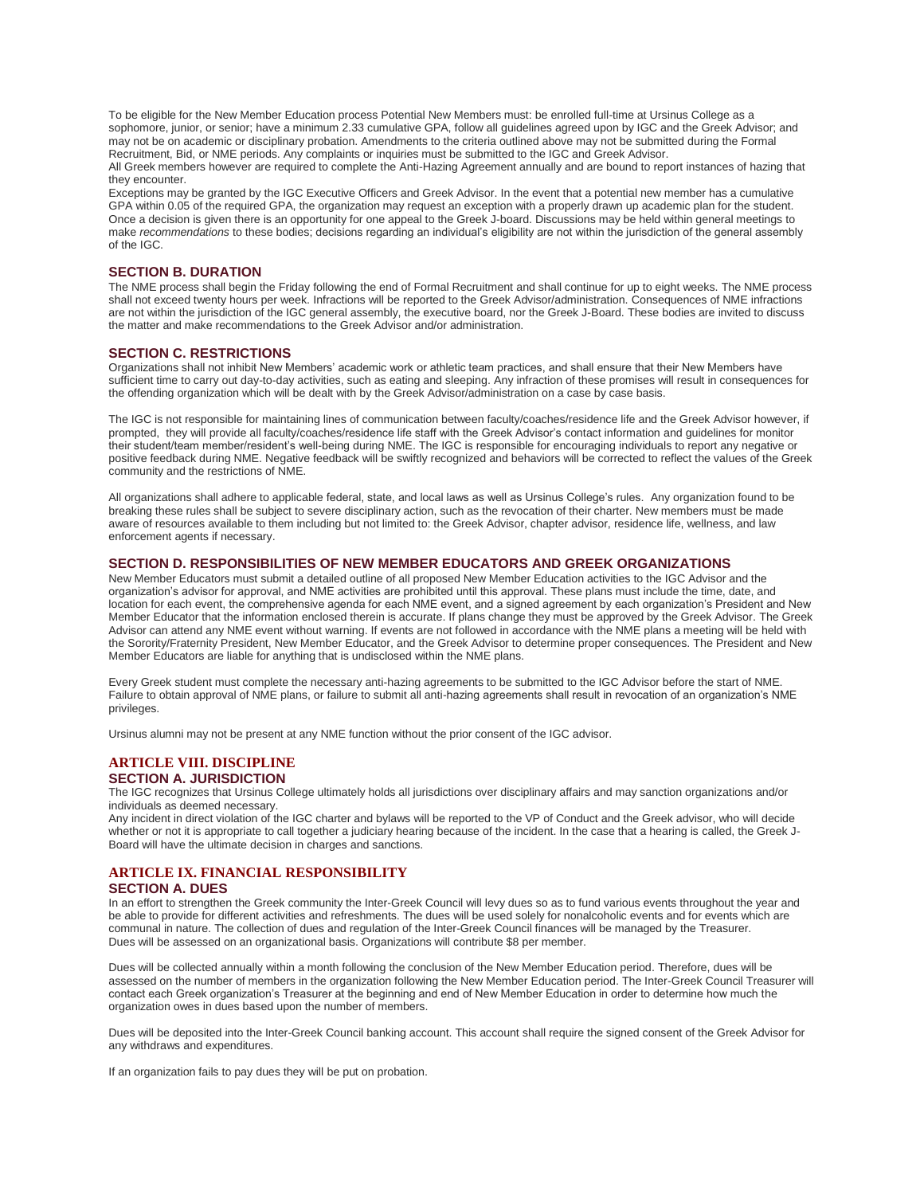To be eligible for the New Member Education process Potential New Members must: be enrolled full-time at Ursinus College as a sophomore, junior, or senior; have a minimum 2.33 cumulative GPA, follow all guidelines agreed upon by IGC and the Greek Advisor; and may not be on academic or disciplinary probation. Amendments to the criteria outlined above may not be submitted during the Formal Recruitment, Bid, or NME periods. Any complaints or inquiries must be submitted to the IGC and Greek Advisor.

All Greek members however are required to complete the Anti-Hazing Agreement annually and are bound to report instances of hazing that they encounter.

Exceptions may be granted by the IGC Executive Officers and Greek Advisor. In the event that a potential new member has a cumulative GPA within 0.05 of the required GPA, the organization may request an exception with a properly drawn up academic plan for the student. Once a decision is given there is an opportunity for one appeal to the Greek J-board. Discussions may be held within general meetings to make *recommendations* to these bodies; decisions regarding an individual's eligibility are not within the jurisdiction of the general assembly of the IGC.

## **SECTION B. DURATION**

The NME process shall begin the Friday following the end of Formal Recruitment and shall continue for up to eight weeks. The NME process shall not exceed twenty hours per week. Infractions will be reported to the Greek Advisor/administration. Consequences of NME infractions are not within the jurisdiction of the IGC general assembly, the executive board, nor the Greek J-Board. These bodies are invited to discuss the matter and make recommendations to the Greek Advisor and/or administration.

#### **SECTION C. RESTRICTIONS**

Organizations shall not inhibit New Members' academic work or athletic team practices, and shall ensure that their New Members have sufficient time to carry out day-to-day activities, such as eating and sleeping. Any infraction of these promises will result in consequences for the offending organization which will be dealt with by the Greek Advisor/administration on a case by case basis.

The IGC is not responsible for maintaining lines of communication between faculty/coaches/residence life and the Greek Advisor however, if prompted, they will provide all faculty/coaches/residence life staff with the Greek Advisor's contact information and guidelines for monitor their student/team member/resident's well-being during NME. The IGC is responsible for encouraging individuals to report any negative or positive feedback during NME. Negative feedback will be swiftly recognized and behaviors will be corrected to reflect the values of the Greek community and the restrictions of NME.

All organizations shall adhere to applicable federal, state, and local laws as well as Ursinus College's rules. Any organization found to be breaking these rules shall be subject to severe disciplinary action, such as the revocation of their charter. New members must be made aware of resources available to them including but not limited to: the Greek Advisor, chapter advisor, residence life, wellness, and law enforcement agents if necessary.

#### **SECTION D. RESPONSIBILITIES OF NEW MEMBER EDUCATORS AND GREEK ORGANIZATIONS**

New Member Educators must submit a detailed outline of all proposed New Member Education activities to the IGC Advisor and the organization's advisor for approval, and NME activities are prohibited until this approval. These plans must include the time, date, and location for each event, the comprehensive agenda for each NME event, and a signed agreement by each organization's President and New Member Educator that the information enclosed therein is accurate. If plans change they must be approved by the Greek Advisor. The Greek Advisor can attend any NME event without warning. If events are not followed in accordance with the NME plans a meeting will be held with the Sorority/Fraternity President, New Member Educator, and the Greek Advisor to determine proper consequences. The President and New Member Educators are liable for anything that is undisclosed within the NME plans.

Every Greek student must complete the necessary anti-hazing agreements to be submitted to the IGC Advisor before the start of NME. Failure to obtain approval of NME plans, or failure to submit all anti-hazing agreements shall result in revocation of an organization's NME privileges.

Ursinus alumni may not be present at any NME function without the prior consent of the IGC advisor.

#### **ARTICLE VIII. DISCIPLINE SECTION A. JURISDICTION**

The IGC recognizes that Ursinus College ultimately holds all jurisdictions over disciplinary affairs and may sanction organizations and/or individuals as deemed necessary.

Any incident in direct violation of the IGC charter and bylaws will be reported to the VP of Conduct and the Greek advisor, who will decide whether or not it is appropriate to call together a judiciary hearing because of the incident. In the case that a hearing is called, the Greek J-Board will have the ultimate decision in charges and sanctions.

# **ARTICLE IX. FINANCIAL RESPONSIBILITY**

## **SECTION A. DUES**

In an effort to strengthen the Greek community the Inter-Greek Council will levy dues so as to fund various events throughout the year and be able to provide for different activities and refreshments. The dues will be used solely for nonalcoholic events and for events which are communal in nature. The collection of dues and regulation of the Inter-Greek Council finances will be managed by the Treasurer. Dues will be assessed on an organizational basis. Organizations will contribute \$8 per member.

Dues will be collected annually within a month following the conclusion of the New Member Education period. Therefore, dues will be assessed on the number of members in the organization following the New Member Education period. The Inter-Greek Council Treasurer will contact each Greek organization's Treasurer at the beginning and end of New Member Education in order to determine how much the organization owes in dues based upon the number of members.

Dues will be deposited into the Inter-Greek Council banking account. This account shall require the signed consent of the Greek Advisor for any withdraws and expenditures.

If an organization fails to pay dues they will be put on probation.